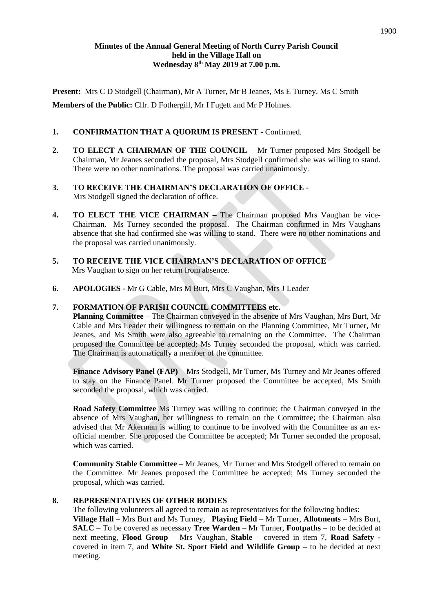#### **Minutes of the Annual General Meeting of North Curry Parish Council held in the Village Hall on Wednesday 8th May 2019 at 7.00 p.m.**

**Present:** Mrs C D Stodgell (Chairman), Mr A Turner, Mr B Jeanes, Ms E Turney, Ms C Smith **Members of the Public:** Cllr. D Fothergill, Mr I Fugett and Mr P Holmes.

# **1. CONFIRMATION THAT A QUORUM IS PRESENT -** Confirmed.

- **2. TO ELECT A CHAIRMAN OF THE COUNCIL –** Mr Turner proposed Mrs Stodgell be Chairman, Mr Jeanes seconded the proposal, Mrs Stodgell confirmed she was willing to stand. There were no other nominations. The proposal was carried unanimously.
- **3. TO RECEIVE THE CHAIRMAN'S DECLARATION OF OFFICE -** Mrs Stodgell signed the declaration of office.
- **4. TO ELECT THE VICE CHAIRMAN –** The Chairman proposed Mrs Vaughan be vice-Chairman. Ms Turney seconded the proposal. The Chairman confirmed in Mrs Vaughans absence that she had confirmed she was willing to stand. There were no other nominations and the proposal was carried unanimously.
- **5. TO RECEIVE THE VICE CHAIRMAN'S DECLARATION OF OFFICE**  Mrs Vaughan to sign on her return from absence.
- **6. APOLOGIES -** Mr G Cable, Mrs M Burt, Mrs C Vaughan, Mrs J Leader

## **7. FORMATION OF PARISH COUNCIL COMMITTEES etc.**

**Planning Committee** – The Chairman conveyed in the absence of Mrs Vaughan, Mrs Burt, Mr Cable and Mrs Leader their willingness to remain on the Planning Committee, Mr Turner, Mr Jeanes, and Ms Smith were also agreeable to remaining on the Committee. The Chairman proposed the Committee be accepted; Ms Turney seconded the proposal, which was carried. The Chairman is automatically a member of the committee.

**Finance Advisory Panel (FAP)** – Mrs Stodgell, Mr Turner, Ms Turney and Mr Jeanes offered to stay on the Finance Panel. Mr Turner proposed the Committee be accepted, Ms Smith seconded the proposal, which was carried.

**Road Safety Committee** Ms Turney was willing to continue; the Chairman conveyed in the absence of Mrs Vaughan, her willingness to remain on the Committee; the Chairman also advised that Mr Akerman is willing to continue to be involved with the Committee as an exofficial member. She proposed the Committee be accepted; Mr Turner seconded the proposal, which was carried.

**Community Stable Committee** – Mr Jeanes, Mr Turner and Mrs Stodgell offered to remain on the Committee. Mr Jeanes proposed the Committee be accepted; Ms Turney seconded the proposal, which was carried.

#### **8. REPRESENTATIVES OF OTHER BODIES**

The following volunteers all agreed to remain as representatives for the following bodies:

**Village Hall** – Mrs Burt and Ms Turney, **Playing Field** – Mr Turner, **Allotments** – Mrs Burt, **SALC** – To be covered as necessary **Tree Warden** – Mr Turner, **Footpaths** – to be decided at next meeting, **Flood Group** – Mrs Vaughan, **Stable** – covered in item 7, **Road Safety**  covered in item 7, and **White St. Sport Field and Wildlife Group** – to be decided at next meeting.